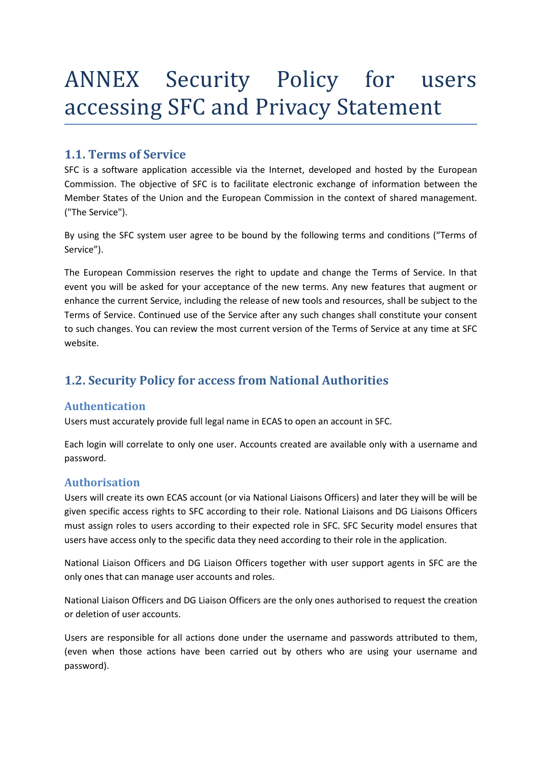# ANNEX Security Policy for users accessing SFC and Privacy Statement

## **1.1. Terms of Service**

SFC is a software application accessible via the Internet, developed and hosted by the European Commission. The objective of SFC is to facilitate electronic exchange of information between the Member States of the Union and the European Commission in the context of shared management. ("The Service").

By using the SFC system user agree to be bound by the following terms and conditions ("Terms of Service").

The European Commission reserves the right to update and change the Terms of Service. In that event you will be asked for your acceptance of the new terms. Any new features that augment or enhance the current Service, including the release of new tools and resources, shall be subject to the Terms of Service. Continued use of the Service after any such changes shall constitute your consent to such changes. You can review the most current version of the Terms of Service at any time at SFC website.

## **1.2. Security Policy for access from National Authorities**

#### **Authentication**

Users must accurately provide full legal name in ECAS to open an account in SFC.

Each login will correlate to only one user. Accounts created are available only with a username and password.

### **Authorisation**

Users will create its own ECAS account (or via National Liaisons Officers) and later they will be will be given specific access rights to SFC according to their role. National Liaisons and DG Liaisons Officers must assign roles to users according to their expected role in SFC. SFC Security model ensures that users have access only to the specific data they need according to their role in the application.

National Liaison Officers and DG Liaison Officers together with user support agents in SFC are the only ones that can manage user accounts and roles.

National Liaison Officers and DG Liaison Officers are the only ones authorised to request the creation or deletion of user accounts.

Users are responsible for all actions done under the username and passwords attributed to them, (even when those actions have been carried out by others who are using your username and password).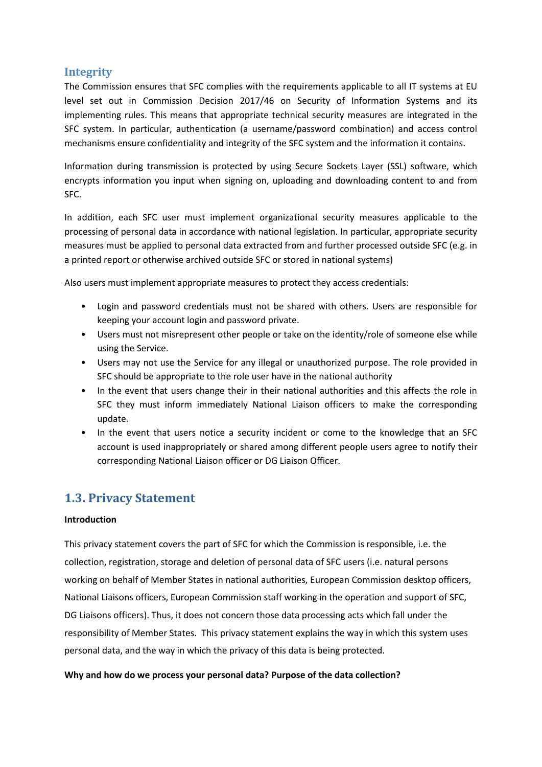#### **Integrity**

The Commission ensures that SFC complies with the requirements applicable to all IT systems at EU level set out in Commission Decision 2017/46 on Security of Information Systems and its implementing rules. This means that appropriate technical security measures are integrated in the SFC system. In particular, authentication (a username/password combination) and access control mechanisms ensure confidentiality and integrity of the SFC system and the information it contains.

Information during transmission is protected by using Secure Sockets Layer (SSL) software, which encrypts information you input when signing on, uploading and downloading content to and from SFC.

In addition, each SFC user must implement organizational security measures applicable to the processing of personal data in accordance with national legislation. In particular, appropriate security measures must be applied to personal data extracted from and further processed outside SFC (e.g. in a printed report or otherwise archived outside SFC or stored in national systems)

Also users must implement appropriate measures to protect they access credentials:

- Login and password credentials must not be shared with others. Users are responsible for keeping your account login and password private.
- Users must not misrepresent other people or take on the identity/role of someone else while using the Service.
- Users may not use the Service for any illegal or unauthorized purpose. The role provided in SFC should be appropriate to the role user have in the national authority
- In the event that users change their in their national authorities and this affects the role in SFC they must inform immediately National Liaison officers to make the corresponding update.
- In the event that users notice a security incident or come to the knowledge that an SFC account is used inappropriately or shared among different people users agree to notify their corresponding National Liaison officer or DG Liaison Officer.

## **1.3. Privacy Statement**

#### **Introduction**

This privacy statement covers the part of SFC for which the Commission is responsible, i.e. the collection, registration, storage and deletion of personal data of SFC users (i.e. natural persons working on behalf of Member States in national authorities, European Commission desktop officers, National Liaisons officers, European Commission staff working in the operation and support of SFC, DG Liaisons officers). Thus, it does not concern those data processing acts which fall under the responsibility of Member States. This privacy statement explains the way in which this system uses personal data, and the way in which the privacy of this data is being protected.

#### **Why and how do we process your personal data? Purpose of the data collection?**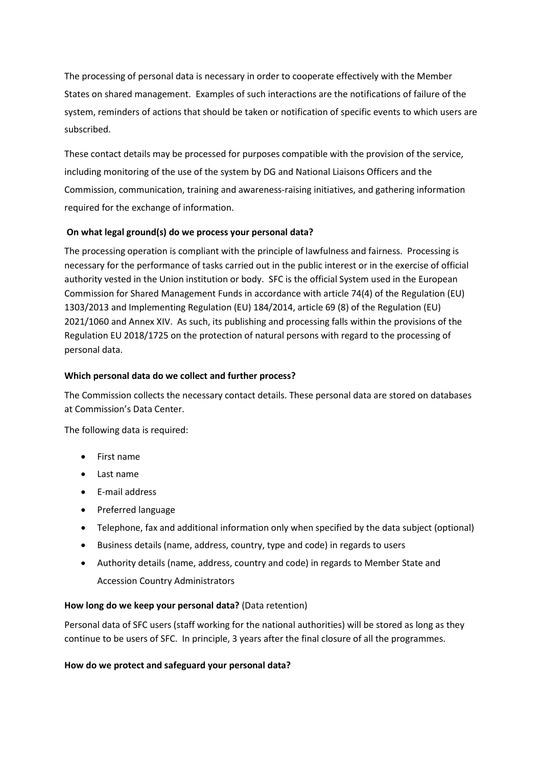The processing of personal data is necessary in order to cooperate effectively with the Member States on shared management. Examples of such interactions are the notifications of failure of the system, reminders of actions that should be taken or notification of specific events to which users are subscribed.

These contact details may be processed for purposes compatible with the provision of the service, including monitoring of the use of the system by DG and National Liaisons Officers and the Commission, communication, training and awareness-raising initiatives, and gathering information required for the exchange of information.

#### **On what legal ground(s) do we process your personal data?**

The processing operation is compliant with the principle of lawfulness and fairness. Processing is necessary for the performance of tasks carried out in the public interest or in the exercise of official authority vested in the Union institution or body. SFC is the official System used in the European Commission for Shared Management Funds in accordance with article 74(4) of the Regulation (EU) 1303/2013 and Implementing Regulation (EU) 184/2014, article 69 (8) of the Regulation (EU) 2021/1060 and Annex XIV. As such, its publishing and processing falls within the provisions of the Regulation EU 2018/1725 on the protection of natural persons with regard to the processing of personal data.

#### **Which personal data do we collect and further process?**

The Commission collects the necessary contact details. These personal data are stored on databases at Commission's Data Center.

The following data is required:

- First name
- Last name
- E-mail address
- Preferred language
- Telephone, fax and additional information only when specified by the data subject (optional)
- Business details (name, address, country, type and code) in regards to users
- Authority details (name, address, country and code) in regards to Member State and Accession Country Administrators

#### **How long do we keep your personal data?** (Data retention)

Personal data of SFC users (staff working for the national authorities) will be stored as long as they continue to be users of SFC. In principle, 3 years after the final closure of all the programmes.

#### **How do we protect and safeguard your personal data?**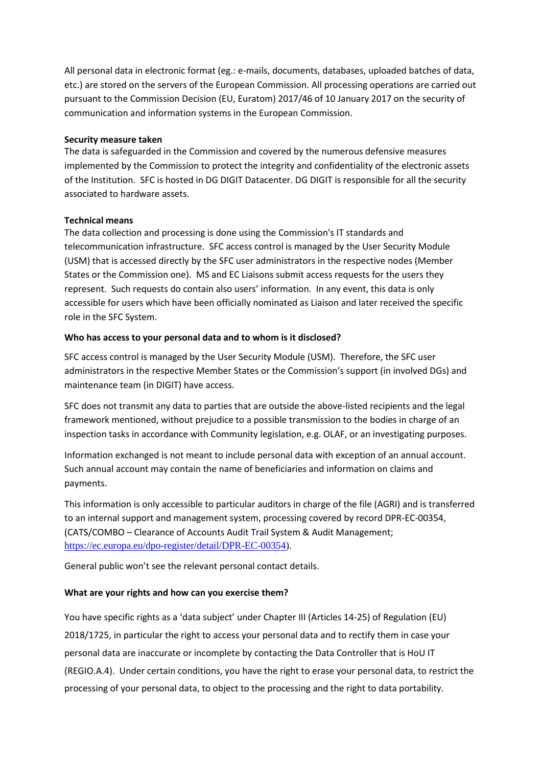All personal data in electronic format (eg.: e-mails, documents, databases, uploaded batches of data, etc.) are stored on the servers of the European Commission. All processing operations are carried out pursuant to the Commission Decision (EU, Euratom) 2017/46 of 10 January 2017 on the security of communication and information systems in the European Commission.

#### **Security measure taken**

The data is safeguarded in the Commission and covered by the numerous defensive measures implemented by the Commission to protect the integrity and confidentiality of the electronic assets of the Institution. SFC is hosted in DG DIGIT Datacenter. DG DIGIT is responsible for all the security associated to hardware assets.

#### **Technical means**

The data collection and processing is done using the Commission's IT standards and telecommunication infrastructure. SFC access control is managed by the User Security Module (USM) that is accessed directly by the SFC user administrators in the respective nodes (Member States or the Commission one). MS and EC Liaisons submit access requests for the users they represent. Such requests do contain also users' information. In any event, this data is only accessible for users which have been officially nominated as Liaison and later received the specific role in the SFC System.

#### **Who has access to your personal data and to whom is it disclosed?**

SFC access control is managed by the User Security Module (USM). Therefore, the SFC user administrators in the respective Member States or the Commission's support (in involved DGs) and maintenance team (in DIGIT) have access.

SFC does not transmit any data to parties that are outside the above-listed recipients and the legal framework mentioned, without prejudice to a possible transmission to the bodies in charge of an inspection tasks in accordance with Community legislation, e.g. OLAF, or an investigating purposes.

Information exchanged is not meant to include personal data with exception of an annual account. Such annual account may contain the name of beneficiaries and information on claims and payments.

This information is only accessible to particular auditors in charge of the file (AGRI) and is transferred to an internal support and management system, processing covered by record DPR-EC-00354, (CATS/COMBO – Clearance of Accounts Audit Trail System & Audit Management; [https://ec.europa.eu/dpo-register/detail/DPR-EC-00354\)](https://ec.europa.eu/dpo-register/detail/DPR-EC-00354).

General public won't see the relevant personal contact details.

#### **What are your rights and how can you exercise them?**

You have specific rights as a 'data subject' under Chapter III (Articles 14-25) of Regulation (EU) 2018/1725, in particular the right to access your personal data and to rectify them in case your personal data are inaccurate or incomplete by contacting the Data Controller that is HoU IT (REGIO.A.4). Under certain conditions, you have the right to erase your personal data, to restrict the processing of your personal data, to object to the processing and the right to data portability.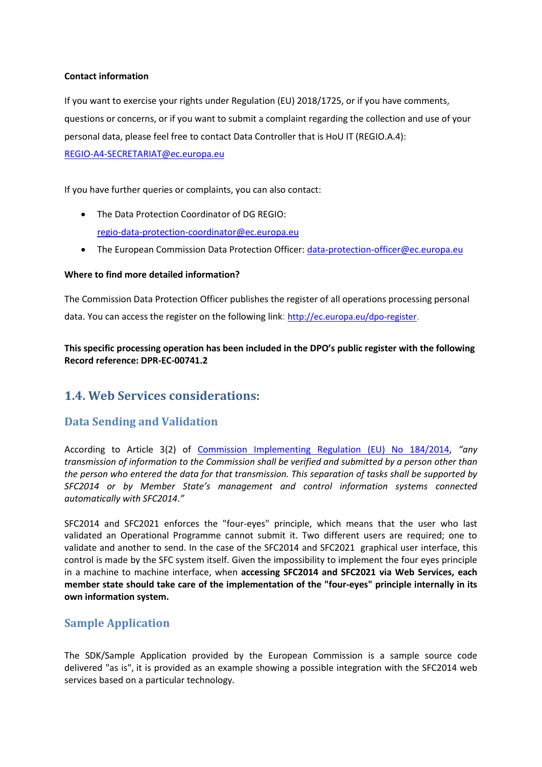#### **Contact information**

If you want to exercise your rights under Regulation (EU) 2018/1725, or if you have comments, questions or concerns, or if you want to submit a complaint regarding the collection and use of your personal data, please feel free to contact Data Controller that is HoU IT (REGIO.A.4): [REGIO-A4-SECRETARIAT@ec.europa.eu](mailto:REGIO-A4-SECRETARIAT@ec.europa.eu)

If you have further queries or complaints, you can also contact:

- The Data Protection Coordinator of DG REGIO: [regio-data-protection-coordinator@ec.europa.eu](mailto:REGIO-DATA-PROTECTION-COORDINATOR@ec.europa.eu)
- The European Commission Data Protection Officer: [data-protection-officer@ec.europa.eu](mailto:data-protection-officer@ec.europa.eu)

#### **Where to find more detailed information?**

The Commission Data Protection Officer publishes the register of all operations processing personal data. You can access the register on the following link: <http://ec.europa.eu/dpo-register>.

**This specific processing operation has been included in the DPO's public register with the following Record reference: DPR-EC-00741.2**

## **1.4. Web Services considerations:**

#### **Data Sending and Validation**

According to Article 3(2) of [Commission Implementing Regulation \(EU\) No 184/2014,](http://eur-lex.europa.eu/LexUriServ/LexUriServ.do?uri=CELEX:32014R0184:EN:NOT) *"any transmission of information to the Commission shall be verified and submitted by a person other than the person who entered the data for that transmission. This separation of tasks shall be supported by SFC2014 or by Member State's management and control information systems connected automatically with SFC2014*.*"*

SFC2014 and SFC2021 enforces the "four-eyes" principle, which means that the user who last validated an Operational Programme cannot submit it. Two different users are required; one to validate and another to send. In the case of the SFC2014 and SFC2021 graphical user interface, this control is made by the SFC system itself. Given the impossibility to implement the four eyes principle in a machine to machine interface, when **accessing SFC2014 and SFC2021 via Web Services, each member state should take care of the implementation of the "four-eyes" principle internally in its own information system.**

#### **Sample Application**

The SDK/Sample Application provided by the European Commission is a sample source code delivered "as is", it is provided as an example showing a possible integration with the SFC2014 web services based on a particular technology.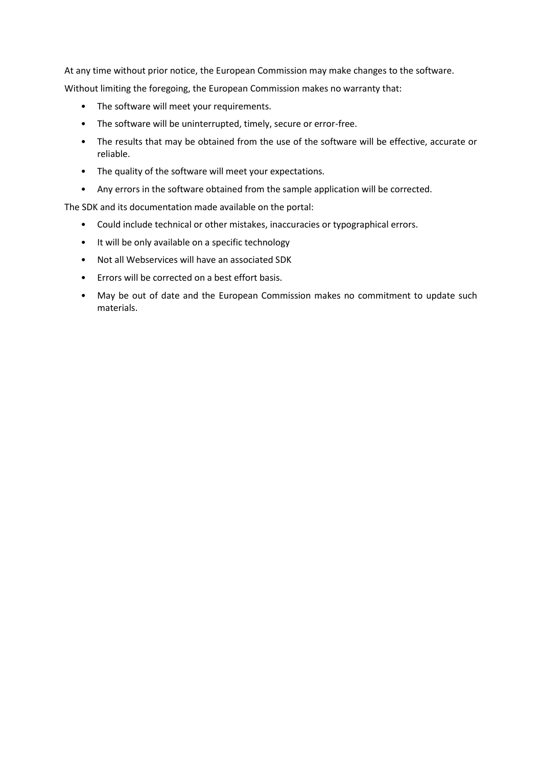At any time without prior notice, the European Commission may make changes to the software. Without limiting the foregoing, the European Commission makes no warranty that:

- The software will meet your requirements.
- The software will be uninterrupted, timely, secure or error-free.
- The results that may be obtained from the use of the software will be effective, accurate or reliable.
- The quality of the software will meet your expectations.
- Any errors in the software obtained from the sample application will be corrected.

The SDK and its documentation made available on the portal:

- Could include technical or other mistakes, inaccuracies or typographical errors.
- It will be only available on a specific technology
- Not all Webservices will have an associated SDK
- Errors will be corrected on a best effort basis.
- May be out of date and the European Commission makes no commitment to update such materials.